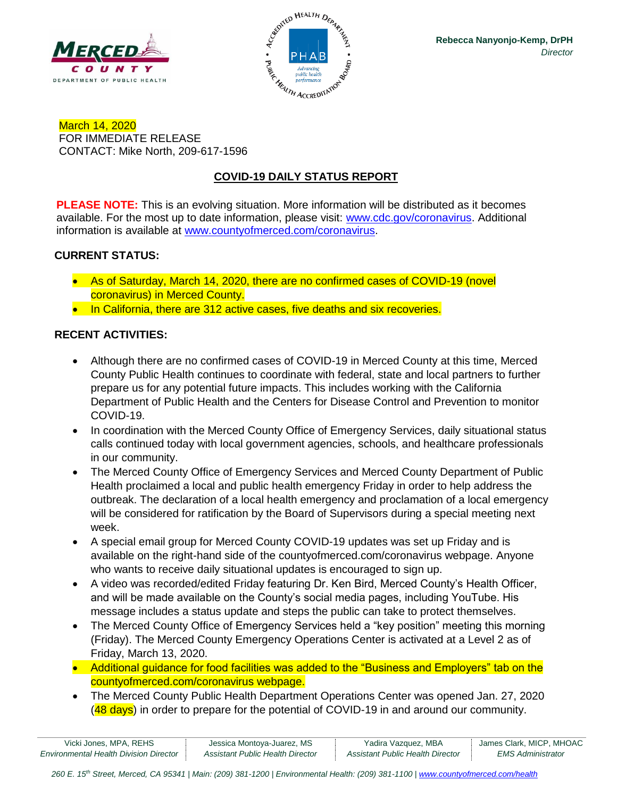



March 14, 2020 FOR IMMEDIATE RELEASE CONTACT: Mike North, 209-617-1596

# **COVID-19 DAILY STATUS REPORT**

**PLEASE NOTE:** This is an evolving situation. More information will be distributed as it becomes available. For the most up to date information, please visit: [www.cdc.gov/coronavirus.](http://www.cdc.gov/coronavirus) Additional information is available at [www.countyofmerced.com/coronavirus.](http://www.countyofmerced.com/coronavirus)

#### **CURRENT STATUS:**

- As of Saturday, March 14, 2020, there are no confirmed cases of COVID-19 (novel coronavirus) in Merced County.
- In California, there are 312 active cases, five deaths and six recoveries.

#### **RECENT ACTIVITIES:**

- Although there are no confirmed cases of COVID-19 in Merced County at this time, Merced County Public Health continues to coordinate with federal, state and local partners to further prepare us for any potential future impacts. This includes working with the California Department of Public Health and the Centers for Disease Control and Prevention to monitor COVID-19.
- In coordination with the Merced County Office of Emergency Services, daily situational status calls continued today with local government agencies, schools, and healthcare professionals in our community.
- The Merced County Office of Emergency Services and Merced County Department of Public Health proclaimed a local and public health emergency Friday in order to help address the outbreak. The declaration of a local health emergency and proclamation of a local emergency will be considered for ratification by the Board of Supervisors during a special meeting next week.
- A special email group for Merced County COVID-19 updates was set up Friday and is available on the right-hand side of the countyofmerced.com/coronavirus webpage. Anyone who wants to receive daily situational updates is encouraged to sign up.
- A video was recorded/edited Friday featuring Dr. Ken Bird, Merced County's Health Officer, and will be made available on the County's social media pages, including YouTube. His message includes a status update and steps the public can take to protect themselves.
- The Merced County Office of Emergency Services held a "key position" meeting this morning (Friday). The Merced County Emergency Operations Center is activated at a Level 2 as of Friday, March 13, 2020.
- Additional guidance for food facilities was added to the "Business and Employers" tab on the countyofmerced.com/coronavirus webpage.
- The Merced County Public Health Department Operations Center was opened Jan. 27, 2020 (48 days) in order to prepare for the potential of COVID-19 in and around our community.

| Vicki Jones, MPA, REHS                        | Jessica Montoya-Juarez, MS       | Yadira Vazquez, MBA              | James Clark, MICP, MHOAC |
|-----------------------------------------------|----------------------------------|----------------------------------|--------------------------|
| <b>Environmental Health Division Director</b> | Assistant Public Health Director | Assistant Public Health Director | <b>EMS Administrator</b> |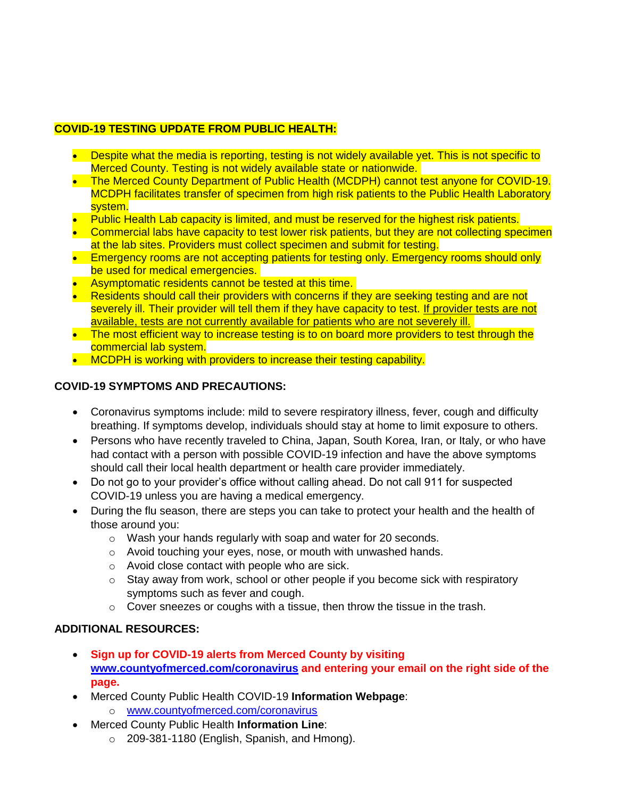## **COVID-19 TESTING UPDATE FROM PUBLIC HEALTH:**

- Despite what the media is reporting, testing is not widely available yet. This is not specific to Merced County. Testing is not widely available state or nationwide.
- The Merced County Department of Public Health (MCDPH) cannot test anyone for COVID-19. MCDPH facilitates transfer of specimen from high risk patients to the Public Health Laboratory system.
- Public Health Lab capacity is limited, and must be reserved for the highest risk patients.
- Commercial labs have capacity to test lower risk patients, but they are not collecting specimen at the lab sites. Providers must collect specimen and submit for testing.
- Emergency rooms are not accepting patients for testing only. Emergency rooms should only be used for medical emergencies.
- Asymptomatic residents cannot be tested at this time.
- Residents should call their providers with concerns if they are seeking testing and are not severely ill. Their provider will tell them if they have capacity to test. If provider tests are not available, tests are not currently available for patients who are not severely ill.
- The most efficient way to increase testing is to on board more providers to test through the commercial lab system.
- MCDPH is working with providers to increase their testing capability.

### **COVID-19 SYMPTOMS AND PRECAUTIONS:**

- Coronavirus symptoms include: mild to severe respiratory illness, fever, cough and difficulty breathing. If symptoms develop, individuals should stay at home to limit exposure to others.
- Persons who have recently traveled to China, Japan, South Korea, Iran, or Italy, or who have had contact with a person with possible COVID-19 infection and have the above symptoms should call their local health department or health care provider immediately.
- Do not go to your provider's office without calling ahead. Do not call 911 for suspected COVID-19 unless you are having a medical emergency.
- During the flu season, there are steps you can take to protect your health and the health of those around you:
	- o Wash your hands regularly with soap and water for 20 seconds.
	- o Avoid touching your eyes, nose, or mouth with unwashed hands.
	- o Avoid close contact with people who are sick.
	- $\circ$  Stay away from work, school or other people if you become sick with respiratory symptoms such as fever and cough.
	- $\circ$  Cover sneezes or coughs with a tissue, then throw the tissue in the trash.

### **ADDITIONAL RESOURCES:**

- **Sign up for COVID-19 alerts from Merced County by visiting [www.countyofmerced.com/coronavirus](http://www.countyofmerced.com/coronavirus) and entering your email on the right side of the page.**
- Merced County Public Health COVID-19 **Information Webpage**: o [www.countyofmerced.com/coronavirus](http://www.countyofmerced.com/coronavirus)
- Merced County Public Health **Information Line**:
	- o 209-381-1180 (English, Spanish, and Hmong).